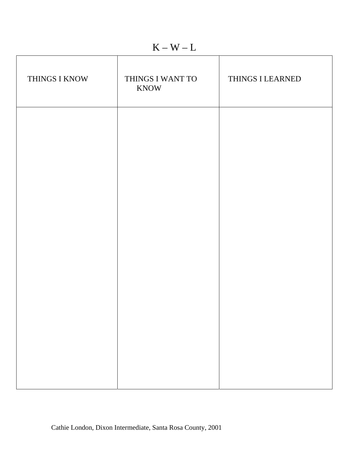$K - W - L$ 

| THINGS I KNOW | THINGS I WANT TO<br><b>KNOW</b> | THINGS I LEARNED |
|---------------|---------------------------------|------------------|
|               |                                 |                  |
|               |                                 |                  |
|               |                                 |                  |
|               |                                 |                  |
|               |                                 |                  |
|               |                                 |                  |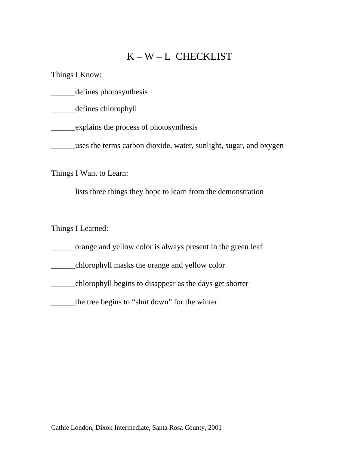## K – W – L CHECKLIST

Things I Know:

\_\_\_\_\_\_defines photosynthesis

\_\_\_\_\_defines chlorophyll

\_\_\_\_\_\_explains the process of photosynthesis

\_\_\_\_\_\_uses the terms carbon dioxide, water, sunlight, sugar, and oxygen

Things I Want to Learn:

\_\_\_\_\_\_lists three things they hope to learn from the demonstration

Things I Learned:

\_\_\_\_\_\_orange and yellow color is always present in the green leaf

\_\_\_\_\_\_chlorophyll masks the orange and yellow color

\_\_\_\_\_\_chlorophyll begins to disappear as the days get shorter

\_\_\_\_\_\_the tree begins to "shut down" for the winter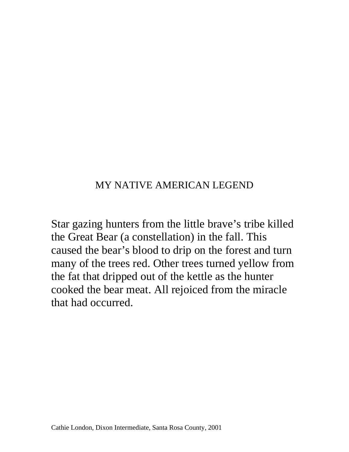## MY NATIVE AMERICAN LEGEND

Star gazing hunters from the little brave's tribe killed the Great Bear (a constellation) in the fall. This caused the bear's blood to drip on the forest and turn many of the trees red. Other trees turned yellow from the fat that dripped out of the kettle as the hunter cooked the bear meat. All rejoiced from the miracle that had occurred.